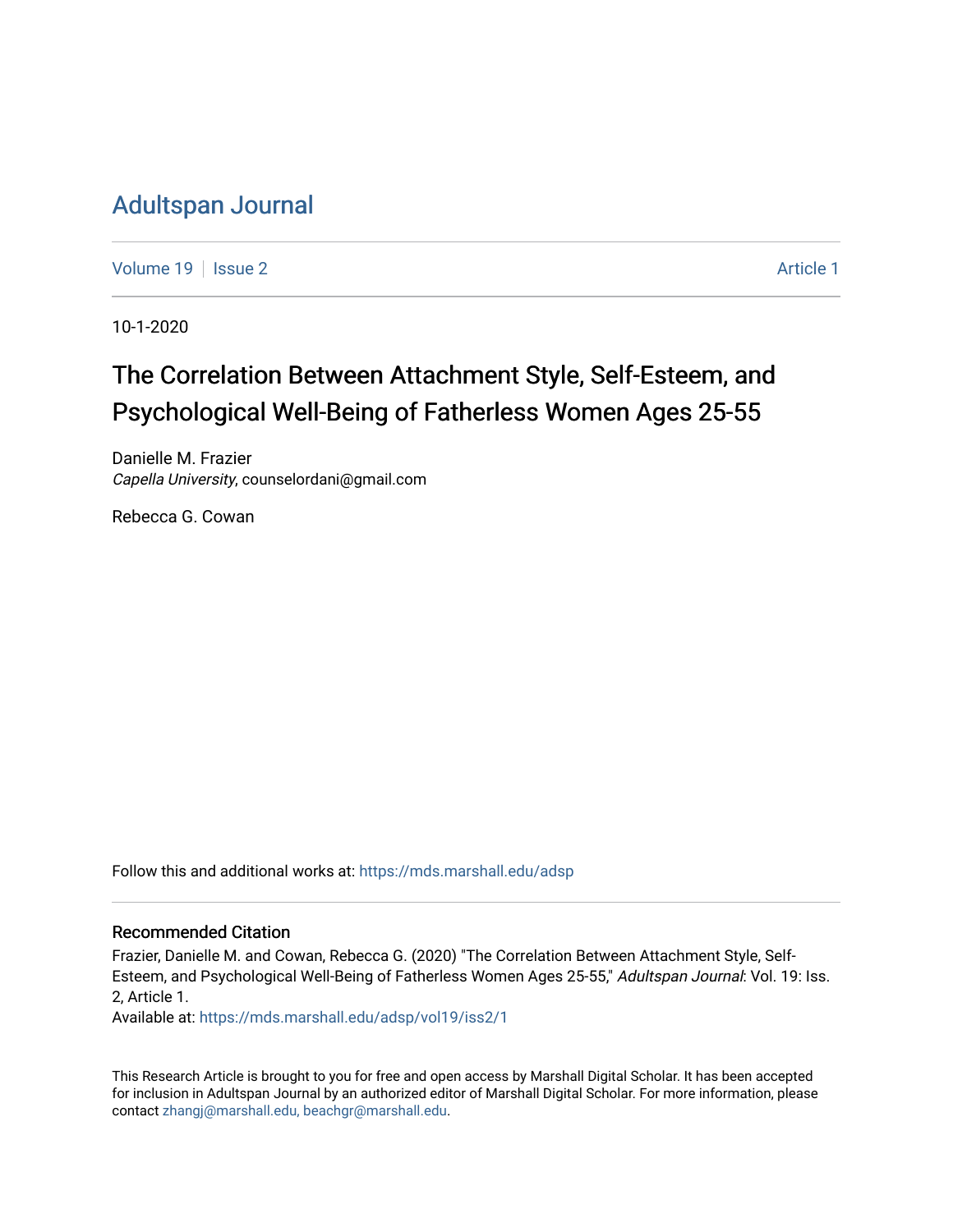# [Adultspan Journal](https://mds.marshall.edu/adsp)

[Volume 19](https://mds.marshall.edu/adsp/vol19) | [Issue 2](https://mds.marshall.edu/adsp/vol19/iss2) [Article 1](https://mds.marshall.edu/adsp/vol19/iss2/1) | Article 1 | Article 1 | Article 1 | Article 1 | Article 1 | Article 1 | Article 1 | Article 1 | Article 1 | Article 1 | Article 1 | Article 1 | Article 1 | Article 1 | Article 1 | Article 1

10-1-2020

# The Correlation Between Attachment Style, Self-Esteem, and Psychological Well-Being of Fatherless Women Ages 25-55

Danielle M. Frazier Capella University, counselordani@gmail.com

Rebecca G. Cowan

Follow this and additional works at: [https://mds.marshall.edu/adsp](https://mds.marshall.edu/adsp?utm_source=mds.marshall.edu%2Fadsp%2Fvol19%2Fiss2%2F1&utm_medium=PDF&utm_campaign=PDFCoverPages) 

## Recommended Citation

Frazier, Danielle M. and Cowan, Rebecca G. (2020) "The Correlation Between Attachment Style, Self-Esteem, and Psychological Well-Being of Fatherless Women Ages 25-55," Adultspan Journal: Vol. 19: Iss. 2, Article 1.

Available at: [https://mds.marshall.edu/adsp/vol19/iss2/1](https://mds.marshall.edu/adsp/vol19/iss2/1?utm_source=mds.marshall.edu%2Fadsp%2Fvol19%2Fiss2%2F1&utm_medium=PDF&utm_campaign=PDFCoverPages) 

This Research Article is brought to you for free and open access by Marshall Digital Scholar. It has been accepted for inclusion in Adultspan Journal by an authorized editor of Marshall Digital Scholar. For more information, please contact [zhangj@marshall.edu, beachgr@marshall.edu](mailto:zhangj@marshall.edu,%20beachgr@marshall.edu).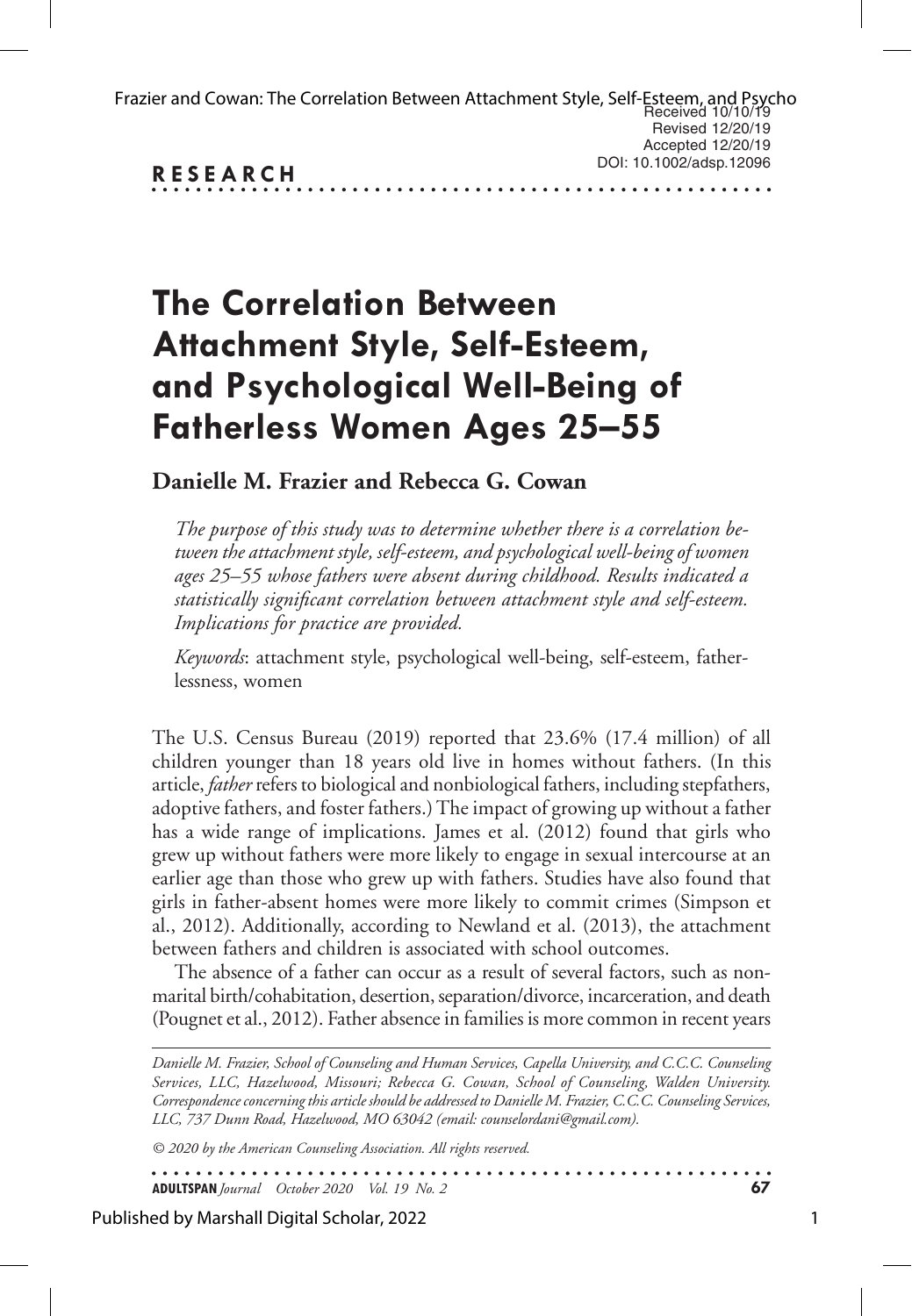| Frazier and Cowan: The Correlation Between Attachment Style, Self-Esteem, and Psycho<br>Received 10/10/19 |                         |
|-----------------------------------------------------------------------------------------------------------|-------------------------|
|                                                                                                           | Revised 12/20/19        |
|                                                                                                           | Accepted 12/20/19       |
| <b>RESEARCH</b>                                                                                           | DOI: 10.1002/adsp.12096 |
|                                                                                                           |                         |

# **The Correlation Between Attachment Style, Self-Esteem, and Psychological Well-Being of Fatherless Women Ages 25–55**

# **Danielle M. Frazier and Rebecca G. Cowan**

*The purpose of this study was to determine whether there is a correlation between the attachment style, self-esteem, and psychological well-being of women ages 25–55 whose fathers were absent during childhood. Results indicated a statistically significant correlation between attachment style and self-esteem. Implications for practice are provided.*

*Keywords*: attachment style, psychological well-being, self-esteem, fatherlessness, women

The U.S. Census Bureau (2019) reported that 23.6% (17.4 million) of all children younger than 18 years old live in homes without fathers. (In this article, *father* refers to biological and nonbiological fathers, including stepfathers, adoptive fathers, and foster fathers.) The impact of growing up without a father has a wide range of implications. James et al. (2012) found that girls who grew up without fathers were more likely to engage in sexual intercourse at an earlier age than those who grew up with fathers. Studies have also found that girls in father-absent homes were more likely to commit crimes (Simpson et al., 2012). Additionally, according to Newland et al. (2013), the attachment between fathers and children is associated with school outcomes.

The absence of a father can occur as a result of several factors, such as nonmarital birth/cohabitation, desertion, separation/divorce, incarceration, and death (Pougnet et al., 2012). Father absence in families is more common in recent years

*Danielle M. Frazier, School of Counseling and Human Services, Capella University, and C.C.C. Counseling Services, LLC, Hazelwood, Missouri; Rebecca G. Cowan, School of Counseling, Walden University. Correspondence concerning this article should be addressed to Danielle M. Frazier, C.C.C. Counseling Services, LLC, 737 Dunn Road, Hazelwood, MO 63042 (email: counselordani@gmail.com).* 

*© 2020 by the American Counseling Association. All rights reserved.*

. . . . . . . . . . . . . . . . . . . **ADULTSPAN***Journal October 2020 Vol. 19 No. 2* **67**

Published by Marshall Digital Scholar, 2022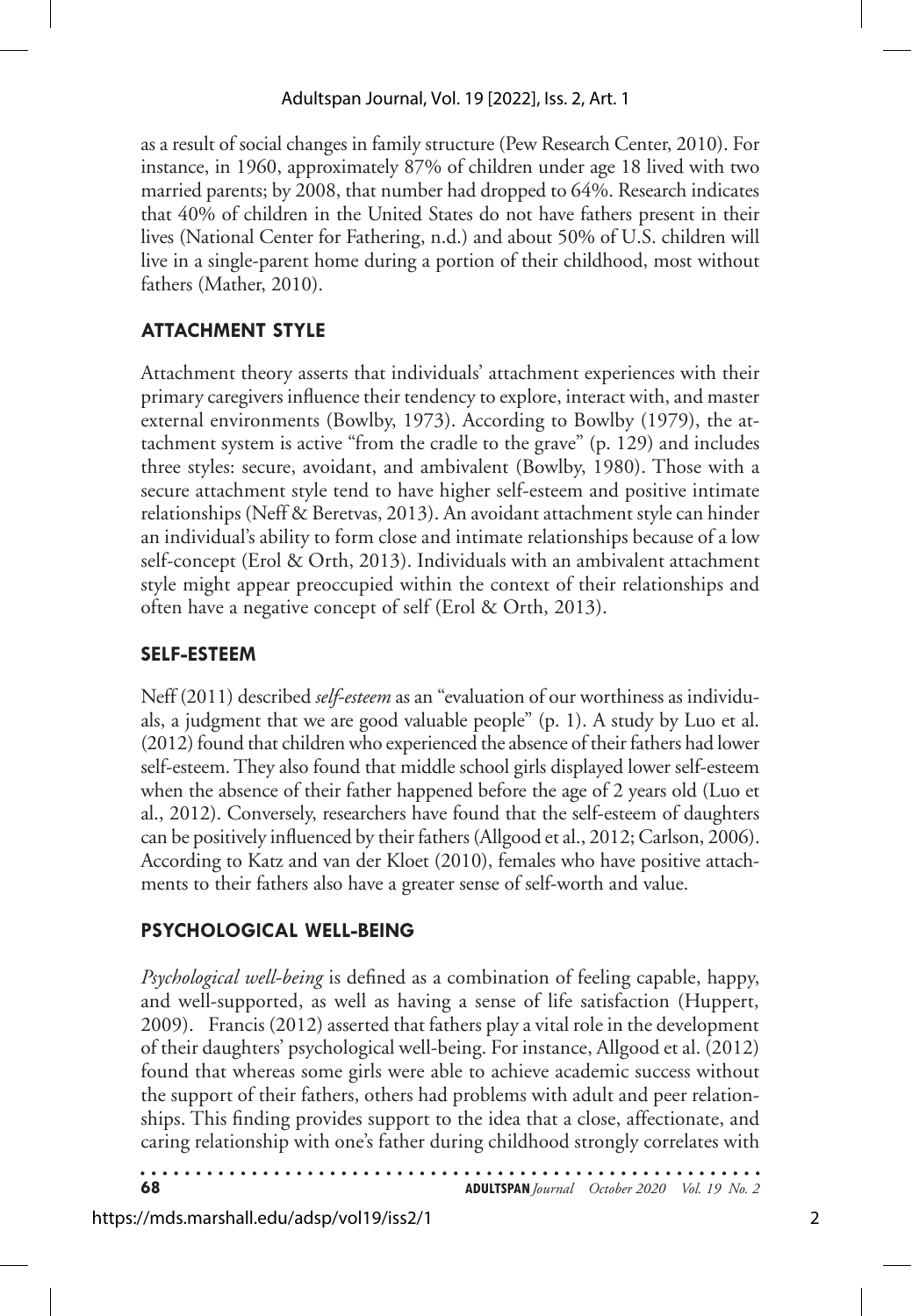as a result of social changes in family structure (Pew Research Center, 2010). For instance, in 1960, approximately 87% of children under age 18 lived with two married parents; by 2008, that number had dropped to 64%. Research indicates that 40% of children in the United States do not have fathers present in their lives (National Center for Fathering, n.d.) and about 50% of U.S. children will live in a single-parent home during a portion of their childhood, most without fathers (Mather, 2010).

# **ATTACHMENT STYLE**

Attachment theory asserts that individuals' attachment experiences with their primary caregivers influence their tendency to explore, interact with, and master external environments (Bowlby, 1973). According to Bowlby (1979), the attachment system is active "from the cradle to the grave" (p. 129) and includes three styles: secure, avoidant, and ambivalent (Bowlby, 1980). Those with a secure attachment style tend to have higher self-esteem and positive intimate relationships (Neff & Beretvas, 2013). An avoidant attachment style can hinder an individual's ability to form close and intimate relationships because of a low self-concept (Erol & Orth, 2013). Individuals with an ambivalent attachment style might appear preoccupied within the context of their relationships and often have a negative concept of self (Erol & Orth, 2013).

# **SELF-ESTEEM**

Neff (2011) described *self-esteem* as an "evaluation of our worthiness as individuals, a judgment that we are good valuable people" (p. 1). A study by Luo et al. (2012) found that children who experienced the absence of their fathers had lower self-esteem. They also found that middle school girls displayed lower self-esteem when the absence of their father happened before the age of 2 years old (Luo et al., 2012). Conversely, researchers have found that the self-esteem of daughters can be positively influenced by their fathers (Allgood et al., 2012; Carlson, 2006). According to Katz and van der Kloet (2010), females who have positive attachments to their fathers also have a greater sense of self-worth and value.

# **PSYCHOLOGICAL WELL-BEING**

*Psychological well-being* is defined as a combination of feeling capable, happy, and well-supported, as well as having a sense of life satisfaction (Huppert, 2009). Francis (2012) asserted that fathers play a vital role in the development of their daughters' psychological well-being. For instance, Allgood et al. (2012) found that whereas some girls were able to achieve academic success without the support of their fathers, others had problems with adult and peer relationships. This finding provides support to the idea that a close, affectionate, and caring relationship with one's father during childhood strongly correlates with

**68 ADULTSPAN***Journal October 2020 Vol. 19 No. 2*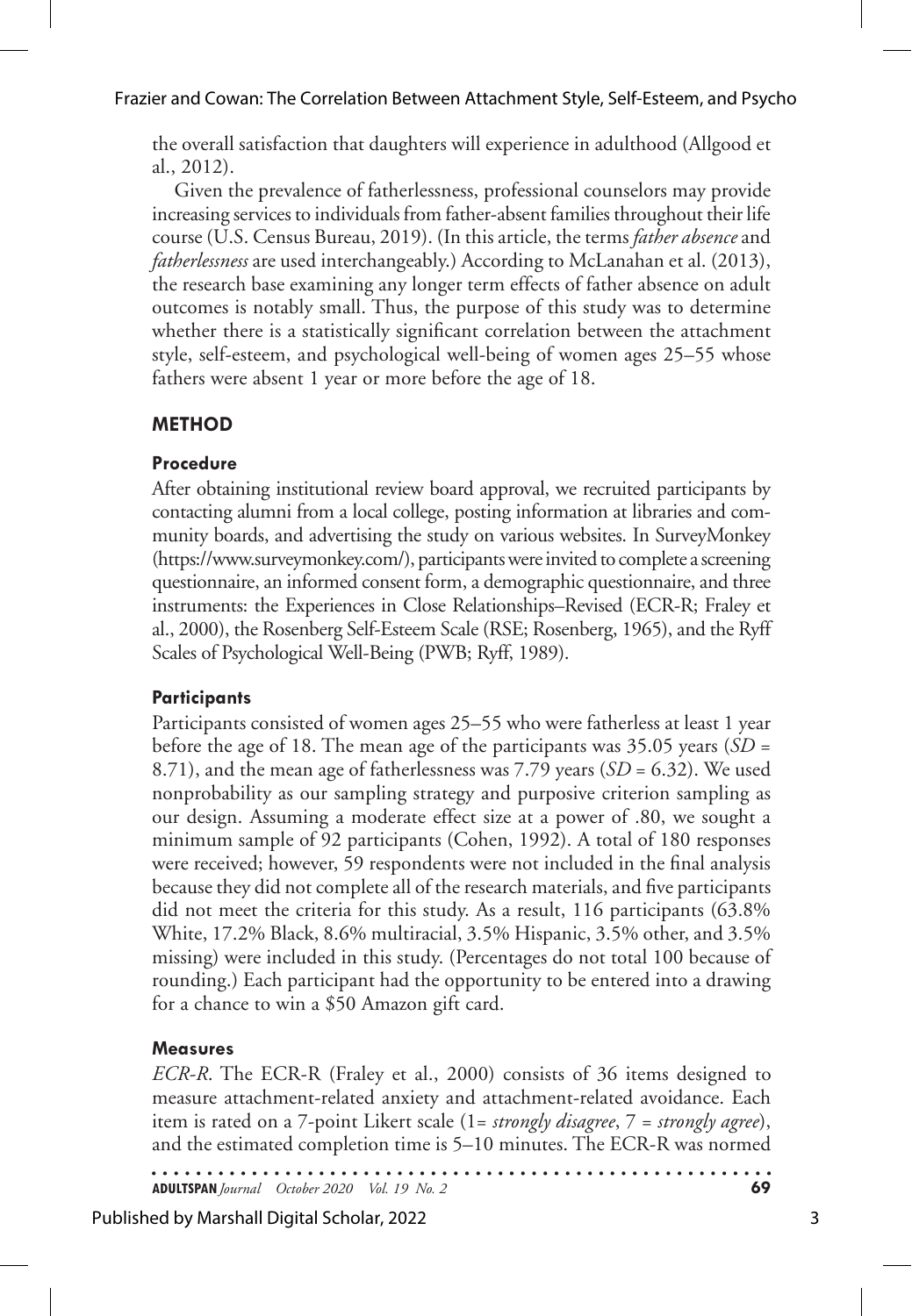Frazier and Cowan: The Correlation Between Attachment Style, Self-Esteem, and Psycho

the overall satisfaction that daughters will experience in adulthood (Allgood et al., 2012).

Given the prevalence of fatherlessness, professional counselors may provide increasing services to individuals from father-absent families throughout their life course (U.S. Census Bureau, 2019). (In this article, the terms *father absence* and *fatherlessness* are used interchangeably.) According to McLanahan et al. (2013), the research base examining any longer term effects of father absence on adult outcomes is notably small. Thus, the purpose of this study was to determine whether there is a statistically significant correlation between the attachment style, self-esteem, and psychological well-being of women ages 25–55 whose fathers were absent 1 year or more before the age of 18.

# **METHOD**

## **Procedure**

After obtaining institutional review board approval, we recruited participants by contacting alumni from a local college, posting information at libraries and community boards, and advertising the study on various websites. In SurveyMonkey (https://www.surveymonkey.com/), participants were invited to complete a screening questionnaire, an informed consent form, a demographic questionnaire, and three instruments: the Experiences in Close Relationships–Revised (ECR-R; Fraley et al., 2000), the Rosenberg Self-Esteem Scale (RSE; Rosenberg, 1965), and the Ryff Scales of Psychological Well-Being (PWB; Ryff, 1989).

# **Participants**

Participants consisted of women ages 25–55 who were fatherless at least 1 year before the age of 18. The mean age of the participants was 35.05 years (*SD* = 8.71), and the mean age of fatherlessness was 7.79 years (*SD* = 6.32). We used nonprobability as our sampling strategy and purposive criterion sampling as our design. Assuming a moderate effect size at a power of .80, we sought a minimum sample of 92 participants (Cohen, 1992). A total of 180 responses were received; however, 59 respondents were not included in the final analysis because they did not complete all of the research materials, and five participants did not meet the criteria for this study. As a result, 116 participants (63.8% White, 17.2% Black, 8.6% multiracial, 3.5% Hispanic, 3.5% other, and 3.5% missing) were included in this study. (Percentages do not total 100 because of rounding.) Each participant had the opportunity to be entered into a drawing for a chance to win a \$50 Amazon gift card.

# **Measures**

*ECR-R*. The ECR-R (Fraley et al., 2000) consists of 36 items designed to measure attachment-related anxiety and attachment-related avoidance. Each item is rated on a 7-point Likert scale (1= *strongly disagree*, 7 = *strongly agree*), and the estimated completion time is 5–10 minutes. The ECR-R was normed

**ADULTSPAN***Journal October 2020 Vol. 19 No. 2* **69**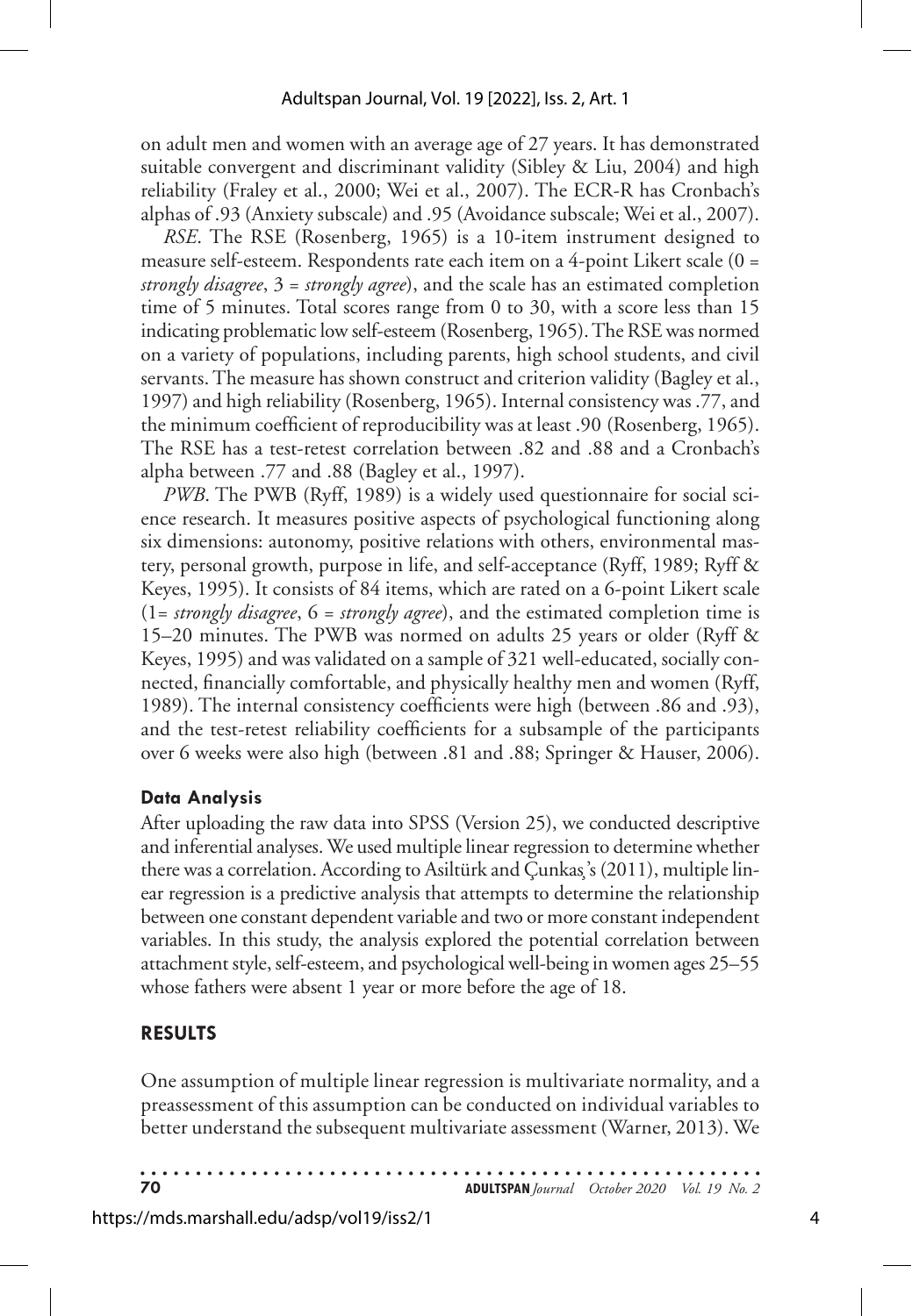on adult men and women with an average age of 27 years. It has demonstrated suitable convergent and discriminant validity (Sibley & Liu, 2004) and high reliability (Fraley et al., 2000; Wei et al., 2007). The ECR-R has Cronbach's alphas of .93 (Anxiety subscale) and .95 (Avoidance subscale; Wei et al., 2007).

*RSE*. The RSE (Rosenberg, 1965) is a 10-item instrument designed to measure self-esteem. Respondents rate each item on a 4-point Likert scale (0 = *strongly disagree*, 3 = *strongly agree*), and the scale has an estimated completion time of 5 minutes. Total scores range from 0 to 30, with a score less than 15 indicating problematic low self-esteem (Rosenberg, 1965). The RSE was normed on a variety of populations, including parents, high school students, and civil servants. The measure has shown construct and criterion validity (Bagley et al., 1997) and high reliability (Rosenberg, 1965). Internal consistency was .77, and the minimum coefficient of reproducibility was at least .90 (Rosenberg, 1965). The RSE has a test-retest correlation between .82 and .88 and a Cronbach's alpha between .77 and .88 (Bagley et al., 1997).

*PWB*. The PWB (Ryff, 1989) is a widely used questionnaire for social science research. It measures positive aspects of psychological functioning along six dimensions: autonomy, positive relations with others, environmental mastery, personal growth, purpose in life, and self-acceptance (Ryff, 1989; Ryff & Keyes, 1995). It consists of 84 items, which are rated on a 6-point Likert scale (1= *strongly disagree*, 6 = *strongly agree*), and the estimated completion time is 15–20 minutes. The PWB was normed on adults 25 years or older (Ryff & Keyes, 1995) and was validated on a sample of 321 well-educated, socially connected, financially comfortable, and physically healthy men and women (Ryff, 1989). The internal consistency coefficients were high (between .86 and .93), and the test-retest reliability coefficients for a subsample of the participants over 6 weeks were also high (between .81 and .88; Springer & Hauser, 2006).

#### **Data Analysis**

After uploading the raw data into SPSS (Version 25), we conducted descriptive and inferential analyses. We used multiple linear regression to determine whether there was a correlation. According to Asiltürk and Çunkas¸'s (2011), multiple linear regression is a predictive analysis that attempts to determine the relationship between one constant dependent variable and two or more constant independent variables. In this study, the analysis explored the potential correlation between attachment style, self-esteem, and psychological well-being in women ages 25–55 whose fathers were absent 1 year or more before the age of 18.

## **RESULTS**

One assumption of multiple linear regression is multivariate normality, and a preassessment of this assumption can be conducted on individual variables to better understand the subsequent multivariate assessment (Warner, 2013). We

**70 ADULTSPAN***Journal October 2020 Vol. 19 No. 2*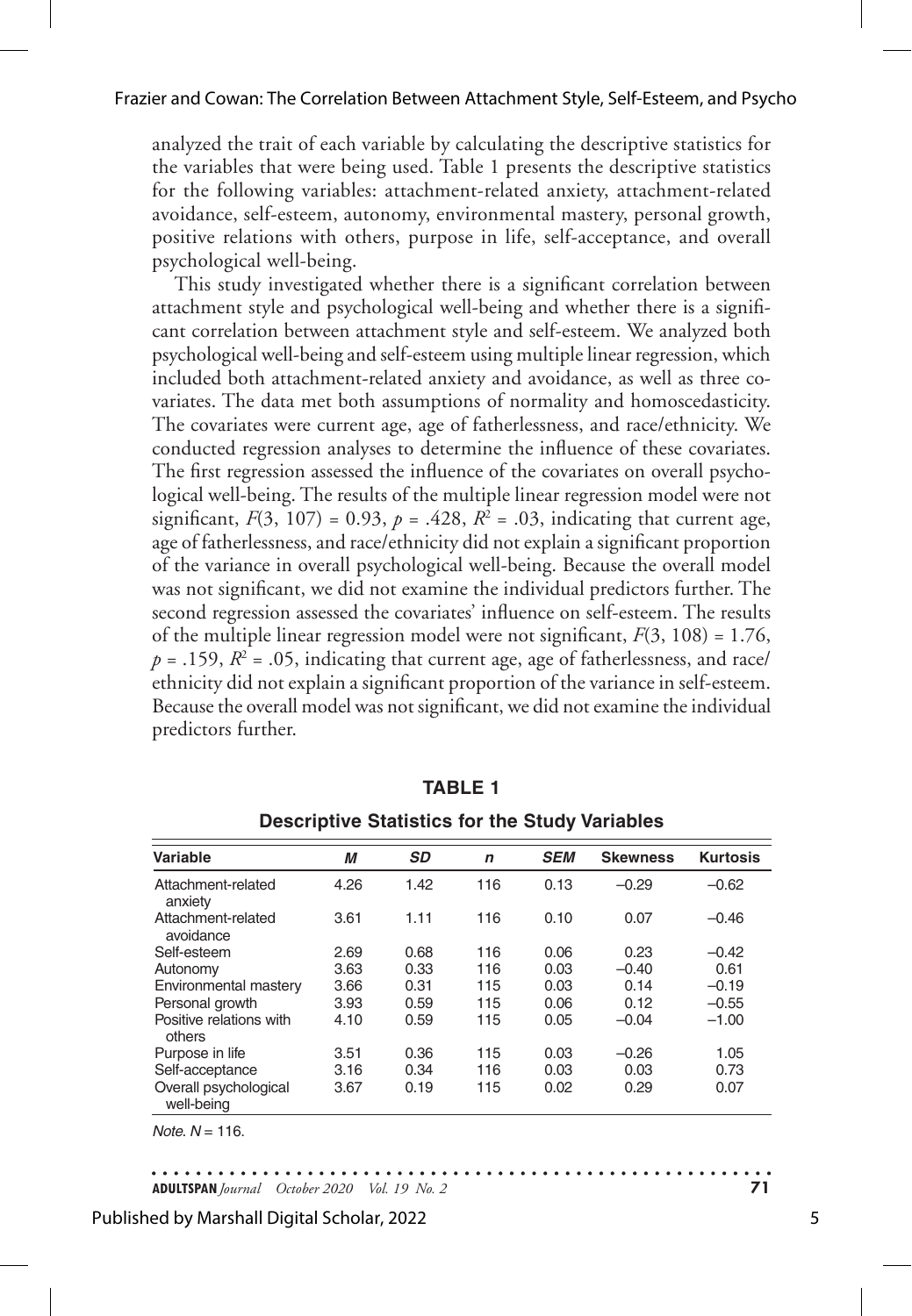analyzed the trait of each variable by calculating the descriptive statistics for the variables that were being used. Table 1 presents the descriptive statistics for the following variables: attachment-related anxiety, attachment-related avoidance, self-esteem, autonomy, environmental mastery, personal growth, positive relations with others, purpose in life, self-acceptance, and overall psychological well-being.

This study investigated whether there is a significant correlation between attachment style and psychological well-being and whether there is a significant correlation between attachment style and self-esteem. We analyzed both psychological well-being and self-esteem using multiple linear regression, which included both attachment-related anxiety and avoidance, as well as three covariates. The data met both assumptions of normality and homoscedasticity. The covariates were current age, age of fatherlessness, and race/ethnicity. We conducted regression analyses to determine the influence of these covariates. The first regression assessed the influence of the covariates on overall psychological well-being. The results of the multiple linear regression model were not significant,  $F(3, 107) = 0.93$ ,  $p = .428$ ,  $R^2 = .03$ , indicating that current age, age of fatherlessness, and race/ethnicity did not explain a significant proportion of the variance in overall psychological well-being. Because the overall model was not significant, we did not examine the individual predictors further. The second regression assessed the covariates' influence on self-esteem. The results of the multiple linear regression model were not significant, *F*(3, 108) = 1.76,  $p = .159$ ,  $R<sup>2</sup> = .05$ , indicating that current age, age of fatherlessness, and race/ ethnicity did not explain a significant proportion of the variance in self-esteem. Because the overall model was not significant, we did not examine the individual predictors further.

| Variable                            | М    | <b>SD</b> | $\mathsf{n}$ | <b>SEM</b> | <b>Skewness</b> | <b>Kurtosis</b> |
|-------------------------------------|------|-----------|--------------|------------|-----------------|-----------------|
| Attachment-related<br>anxiety       | 4.26 | 1.42      | 116          | 0.13       | $-0.29$         | $-0.62$         |
| Attachment-related<br>avoidance     | 3.61 | 1.11      | 116          | 0.10       | 0.07            | $-0.46$         |
| Self-esteem                         | 2.69 | 0.68      | 116          | 0.06       | 0.23            | $-0.42$         |
| Autonomy                            | 3.63 | 0.33      | 116          | 0.03       | $-0.40$         | 0.61            |
| Environmental mastery               | 3.66 | 0.31      | 115          | 0.03       | 0.14            | $-0.19$         |
| Personal growth                     | 3.93 | 0.59      | 115          | 0.06       | 0.12            | $-0.55$         |
| Positive relations with<br>others   | 4.10 | 0.59      | 115          | 0.05       | $-0.04$         | $-1.00$         |
| Purpose in life                     | 3.51 | 0.36      | 115          | 0.03       | $-0.26$         | 1.05            |
| Self-acceptance                     | 3.16 | 0.34      | 116          | 0.03       | 0.03            | 0.73            |
| Overall psychological<br>well-being | 3.67 | 0.19      | 115          | 0.02       | 0.29            | 0.07            |

**TABLE 1**

| <b>Descriptive Statistics for the Study Variables</b> |  |  |  |  |
|-------------------------------------------------------|--|--|--|--|
|-------------------------------------------------------|--|--|--|--|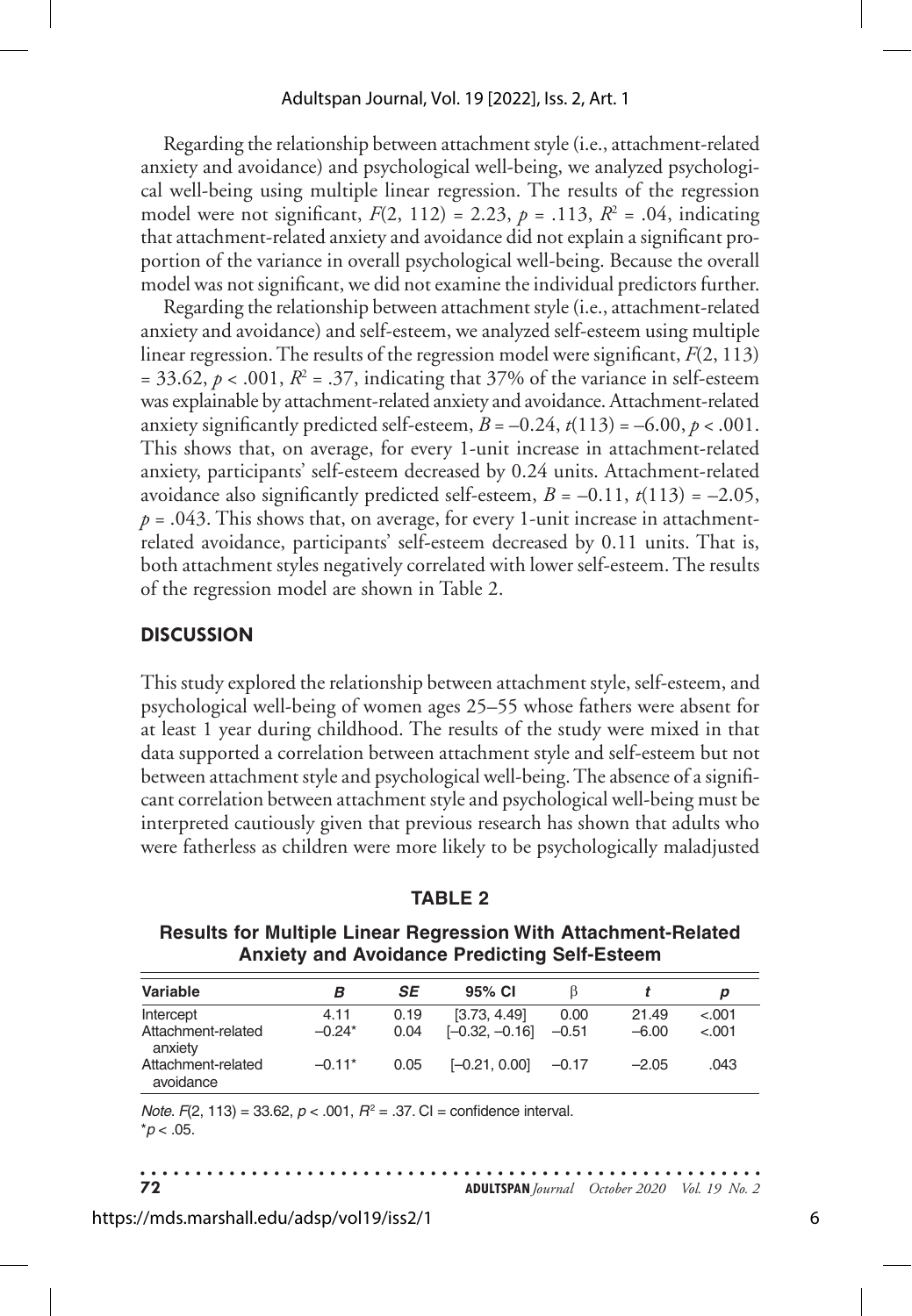#### Adultspan Journal, Vol. 19 [2022], Iss. 2, Art. 1

Regarding the relationship between attachment style (i.e., attachment-related anxiety and avoidance) and psychological well-being, we analyzed psychological well-being using multiple linear regression. The results of the regression model were not significant,  $F(2, 112) = 2.23$ ,  $p = .113$ ,  $R^2 = .04$ , indicating that attachment-related anxiety and avoidance did not explain a significant proportion of the variance in overall psychological well-being. Because the overall model was not significant, we did not examine the individual predictors further.

Regarding the relationship between attachment style (i.e., attachment-related anxiety and avoidance) and self-esteem, we analyzed self-esteem using multiple linear regression. The results of the regression model were significant, *F*(2, 113)  $= 33.62, p < .001, R<sup>2</sup> = .37$ , indicating that 37% of the variance in self-esteem was explainable by attachment-related anxiety and avoidance. Attachment-related anxiety significantly predicted self-esteem,  $B = -0.24$ ,  $t(113) = -6.00$ ,  $p < .001$ . This shows that, on average, for every 1-unit increase in attachment-related anxiety, participants' self-esteem decreased by 0.24 units. Attachment-related avoidance also significantly predicted self-esteem,  $B = -0.11$ ,  $t(113) = -2.05$ ,  $p = .043$ . This shows that, on average, for every 1-unit increase in attachmentrelated avoidance, participants' self-esteem decreased by 0.11 units. That is, both attachment styles negatively correlated with lower self-esteem. The results of the regression model are shown in Table 2.

#### **DISCUSSION**

This study explored the relationship between attachment style, self-esteem, and psychological well-being of women ages 25–55 whose fathers were absent for at least 1 year during childhood. The results of the study were mixed in that data supported a correlation between attachment style and self-esteem but not between attachment style and psychological well-being. The absence of a significant correlation between attachment style and psychological well-being must be interpreted cautiously given that previous research has shown that adults who were fatherless as children were more likely to be psychologically maladjusted

|--|--|--|--|

**Results for Multiple Linear Regression With Attachment-Related Anxiety and Avoidance Predicting Self-Esteem**

| Variable                                                                                               | в        | SE   | 95% CI           |         |         | р       |
|--------------------------------------------------------------------------------------------------------|----------|------|------------------|---------|---------|---------|
| Intercept                                                                                              | 4.11     | 0.19 | [3.73, 4.49]     | 0.00    | 21.49   | < 0.001 |
| Attachment-related<br>anxiety                                                                          | $-0.24*$ | 0.04 | $[-0.32, -0.16]$ | $-0.51$ | $-6.00$ | < .001  |
| Attachment-related<br>avoidance                                                                        | $-0.11*$ | 0.05 | $[-0.21, 0.00]$  | $-0.17$ | $-2.05$ | .043    |
| <i>Note.</i> $F(2, 113) = 33.62$ , $p < .001$ , $R^2 = .37$ . CI = confidence interval.<br>$*p$ < .05. |          |      |                  |         |         |         |

**72 ADULTSPAN***Journal October 2020 Vol. 19 No. 2*

https://mds.marshall.edu/adsp/vol19/iss2/1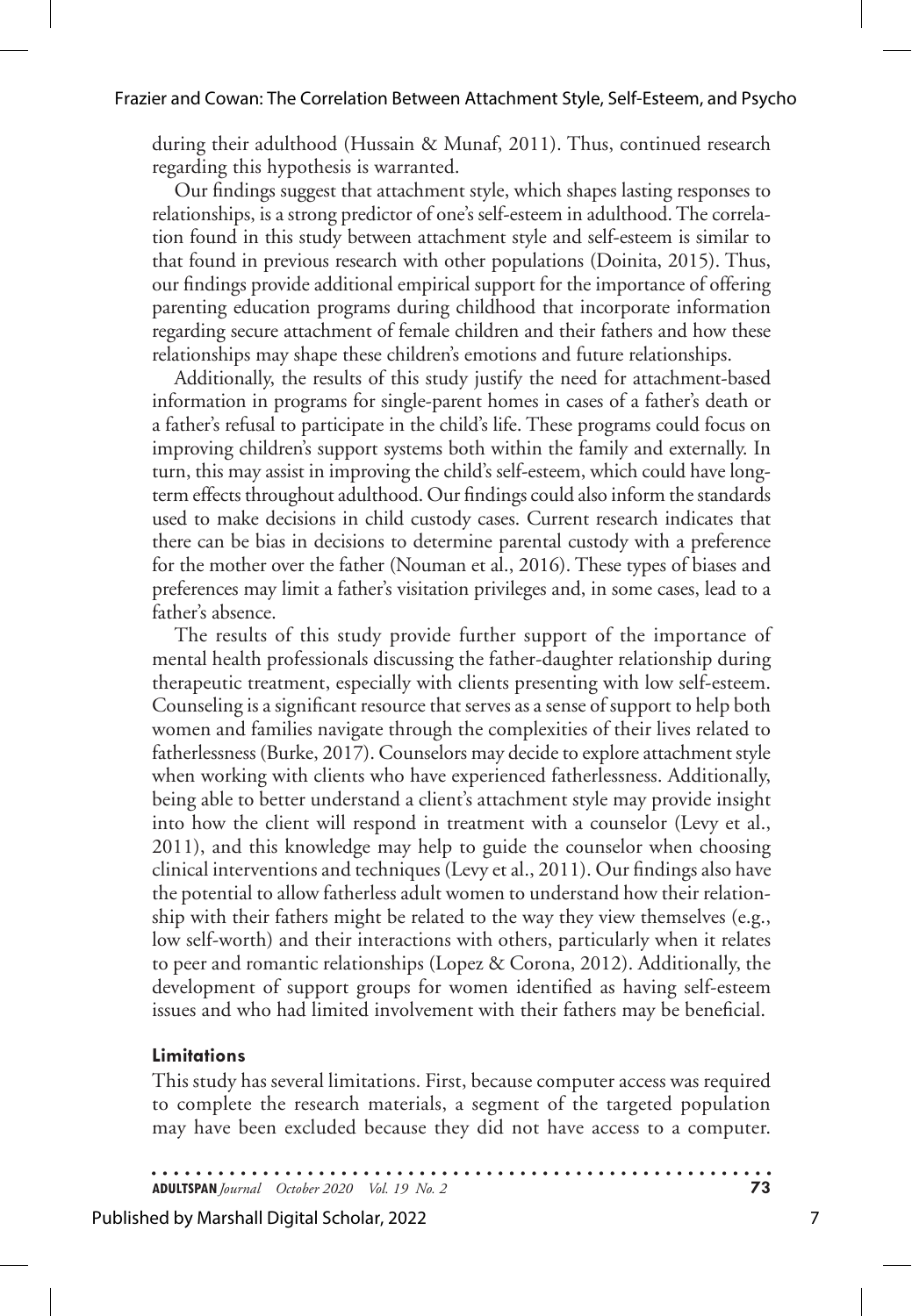during their adulthood (Hussain & Munaf, 2011). Thus, continued research regarding this hypothesis is warranted.

Our findings suggest that attachment style, which shapes lasting responses to relationships, is a strong predictor of one's self-esteem in adulthood. The correlation found in this study between attachment style and self-esteem is similar to that found in previous research with other populations (Doinita, 2015). Thus, our findings provide additional empirical support for the importance of offering parenting education programs during childhood that incorporate information regarding secure attachment of female children and their fathers and how these relationships may shape these children's emotions and future relationships.

Additionally, the results of this study justify the need for attachment-based information in programs for single-parent homes in cases of a father's death or a father's refusal to participate in the child's life. These programs could focus on improving children's support systems both within the family and externally. In turn, this may assist in improving the child's self-esteem, which could have longterm effects throughout adulthood. Our findings could also inform the standards used to make decisions in child custody cases. Current research indicates that there can be bias in decisions to determine parental custody with a preference for the mother over the father (Nouman et al., 2016). These types of biases and preferences may limit a father's visitation privileges and, in some cases, lead to a father's absence.

The results of this study provide further support of the importance of mental health professionals discussing the father-daughter relationship during therapeutic treatment, especially with clients presenting with low self-esteem. Counseling is a significant resource that serves as a sense of support to help both women and families navigate through the complexities of their lives related to fatherlessness (Burke, 2017). Counselors may decide to explore attachment style when working with clients who have experienced fatherlessness. Additionally, being able to better understand a client's attachment style may provide insight into how the client will respond in treatment with a counselor (Levy et al., 2011), and this knowledge may help to guide the counselor when choosing clinical interventions and techniques (Levy et al., 2011). Our findings also have the potential to allow fatherless adult women to understand how their relationship with their fathers might be related to the way they view themselves (e.g., low self-worth) and their interactions with others, particularly when it relates to peer and romantic relationships (Lopez & Corona, 2012). Additionally, the development of support groups for women identified as having self-esteem issues and who had limited involvement with their fathers may be beneficial.

#### **Limitations**

This study has several limitations. First, because computer access was required to complete the research materials, a segment of the targeted population may have been excluded because they did not have access to a computer.

**ADULTSPAN***Journal October 2020 Vol. 19 No. 2* **73**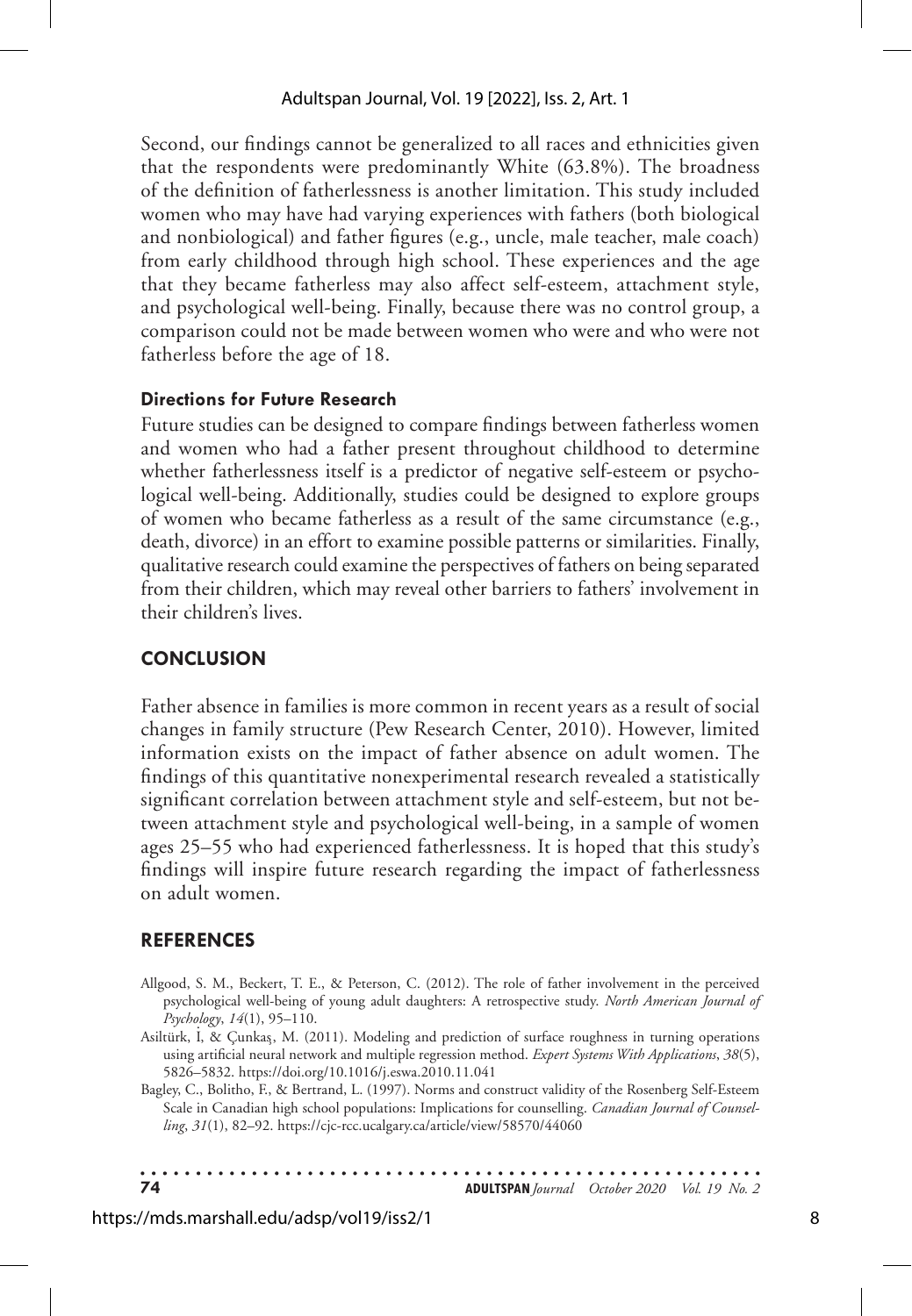Second, our findings cannot be generalized to all races and ethnicities given that the respondents were predominantly White (63.8%). The broadness of the definition of fatherlessness is another limitation. This study included women who may have had varying experiences with fathers (both biological and nonbiological) and father figures (e.g., uncle, male teacher, male coach) from early childhood through high school. These experiences and the age that they became fatherless may also affect self-esteem, attachment style, and psychological well-being. Finally, because there was no control group, a comparison could not be made between women who were and who were not fatherless before the age of 18.

## **Directions for Future Research**

Future studies can be designed to compare findings between fatherless women and women who had a father present throughout childhood to determine whether fatherlessness itself is a predictor of negative self-esteem or psychological well-being. Additionally, studies could be designed to explore groups of women who became fatherless as a result of the same circumstance (e.g., death, divorce) in an effort to examine possible patterns or similarities. Finally, qualitative research could examine the perspectives of fathers on being separated from their children, which may reveal other barriers to fathers' involvement in their children's lives.

# **CONCLUSION**

Father absence in families is more common in recent years as a result of social changes in family structure (Pew Research Center, 2010). However, limited information exists on the impact of father absence on adult women. The findings of this quantitative nonexperimental research revealed a statistically significant correlation between attachment style and self-esteem, but not between attachment style and psychological well-being, in a sample of women ages 25–55 who had experienced fatherlessness. It is hoped that this study's findings will inspire future research regarding the impact of fatherlessness on adult women.

## **REFERENCES**

- Allgood, S. M., Beckert, T. E., & Peterson, C. (2012). The role of father involvement in the perceived psychological well-being of young adult daughters: A retrospective study. *North American Journal of Psychology*, *14*(1), 95–110.
- Asiltürk, I. , & Çunkas¸, M. (2011). Modeling and prediction of surface roughness in turning operations using artificial neural network and multiple regression method. *Expert Systems With Applications*, *38*(5), 5826–5832. https://doi.org/10.1016/j.eswa.2010.11.041
- Bagley, C., Bolitho, F., & Bertrand, L. (1997). Norms and construct validity of the Rosenberg Self-Esteem Scale in Canadian high school populations: Implications for counselling. *Canadian Journal of Counselling*, *31*(1), 82–92. https://cjc-rcc.ucalgary.ca/article/view/58570/44060

**74 ADULTSPAN***Journal October 2020 Vol. 19 No. 2*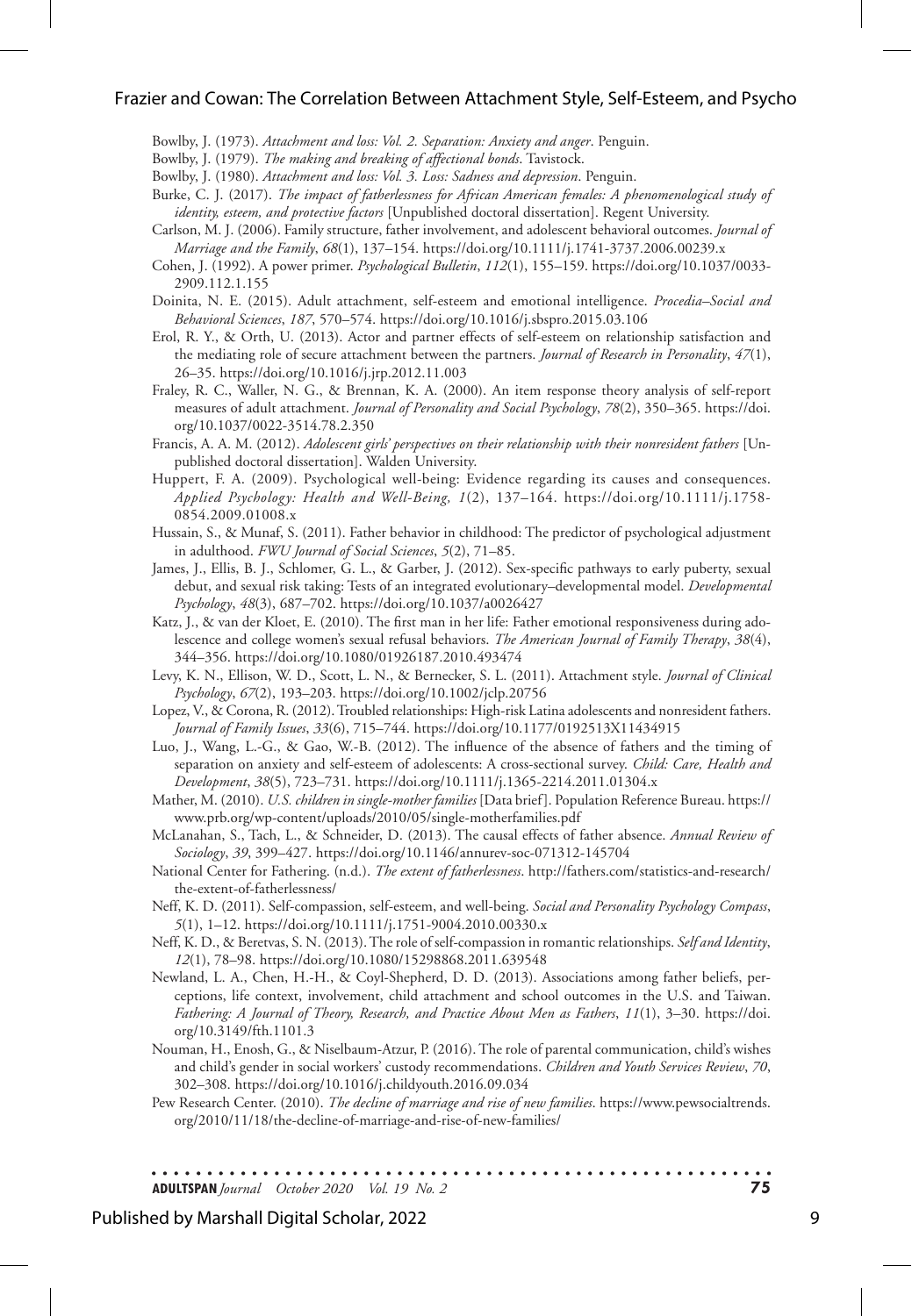#### Frazier and Cowan: The Correlation Between Attachment Style, Self-Esteem, and Psycho

Bowlby, J. (1973). *Attachment and loss: Vol. 2. Separation: Anxiety and anger*. Penguin.

Bowlby, J. (1979). *The making and breaking of affectional bonds*. Tavistock.

Bowlby, J. (1980). *Attachment and loss: Vol. 3. Loss: Sadness and depression*. Penguin.

- Burke, C. J. (2017). *The impact of fatherlessness for African American females: A phenomenological study of identity, esteem, and protective factors* [Unpublished doctoral dissertation]. Regent University.
- Carlson, M. J. (2006). Family structure, father involvement, and adolescent behavioral outcomes. *Journal of Marriage and the Family*, *68*(1), 137–154. https://doi.org/10.1111/j.1741-3737.2006.00239.x
- Cohen, J. (1992). A power primer. *Psychological Bulletin*, *112*(1), 155–159. https://doi.org/10.1037/0033- 2909.112.1.155
- Doinita, N. E. (2015). Adult attachment, self-esteem and emotional intelligence. *Procedia–Social and Behavioral Sciences*, *187*, 570–574. https://doi.org/10.1016/j.sbspro.2015.03.106
- Erol, R. Y., & Orth, U. (2013). Actor and partner effects of self-esteem on relationship satisfaction and the mediating role of secure attachment between the partners. *Journal of Research in Personality*, *47*(1), 26–35. https://doi.org/10.1016/j.jrp.2012.11.003
- Fraley, R. C., Waller, N. G., & Brennan, K. A. (2000). An item response theory analysis of self-report measures of adult attachment. *Journal of Personality and Social Psychology*, *78*(2), 350–365. https://doi. org/10.1037/0022-3514.78.2.350
- Francis, A. A. M. (2012). *Adolescent girls' perspectives on their relationship with their nonresident fathers* [Unpublished doctoral dissertation]. Walden University.
- Huppert, F. A. (2009). Psychological well-being: Evidence regarding its causes and consequences. *Applied Psychology: Health and Well-Being, 1*(2), 137–164. https://doi.org/10.1111/j.1758- 0854.2009.01008.x
- Hussain, S., & Munaf, S. (2011). Father behavior in childhood: The predictor of psychological adjustment in adulthood. *FWU Journal of Social Sciences*, *5*(2), 71–85.
- James, J., Ellis, B. J., Schlomer, G. L., & Garber, J. (2012). Sex-specific pathways to early puberty, sexual debut, and sexual risk taking: Tests of an integrated evolutionary–developmental model. *Developmental Psychology*, *48*(3), 687–702. https://doi.org/10.1037/a0026427
- Katz, J., & van der Kloet, E. (2010). The first man in her life: Father emotional responsiveness during adolescence and college women's sexual refusal behaviors. *The American Journal of Family Therapy*, *38*(4), 344–356. https://doi.org/10.1080/01926187.2010.493474
- Levy, K. N., Ellison, W. D., Scott, L. N., & Bernecker, S. L. (2011). Attachment style. *Journal of Clinical Psychology*, *67*(2), 193–203. https://doi.org/10.1002/jclp.20756
- Lopez, V., & Corona, R. (2012). Troubled relationships: High-risk Latina adolescents and nonresident fathers. *Journal of Family Issues*, *33*(6), 715–744. https://doi.org/10.1177/0192513X11434915
- Luo, J., Wang, L.-G., & Gao, W.-B. (2012). The influence of the absence of fathers and the timing of separation on anxiety and self-esteem of adolescents: A cross-sectional survey. *Child: Care, Health and Development*, *38*(5), 723–731. https://doi.org/10.1111/j.1365-2214.2011.01304.x
- Mather, M. (2010). *U.S. children in single-mother families* [Data brief]. Population Reference Bureau. https:// www.prb.org/wp-content/uploads/2010/05/single-motherfamilies.pdf
- McLanahan, S., Tach, L., & Schneider, D. (2013). The causal effects of father absence. *Annual Review of Sociology*, *39*, 399–427. https://doi.org/10.1146/annurev-soc-071312-145704
- National Center for Fathering. (n.d.). *The extent of fatherlessness*. http://fathers.com/statistics-and-research/ the-extent-of-fatherlessness/
- Neff, K. D. (2011). Self-compassion, self-esteem, and well-being. *Social and Personality Psychology Compass*, *5*(1), 1–12. https://doi.org/10.1111/j.1751-9004.2010.00330.x
- Neff, K. D., & Beretvas, S. N. (2013). The role of self-compassion in romantic relationships. *Self and Identity*, *12*(1), 78–98. https://doi.org/10.1080/15298868.2011.639548
- Newland, L. A., Chen, H.-H., & Coyl-Shepherd, D. D. (2013). Associations among father beliefs, perceptions, life context, involvement, child attachment and school outcomes in the U.S. and Taiwan. *Fathering: A Journal of Theory, Research, and Practice About Men as Fathers*, *11*(1), 3–30. https://doi. org/10.3149/fth.1101.3
- Nouman, H., Enosh, G., & Niselbaum-Atzur, P. (2016). The role of parental communication, child's wishes and child's gender in social workers' custody recommendations. *Children and Youth Services Review*, *70*, 302–308. https://doi.org/10.1016/j.childyouth.2016.09.034
- Pew Research Center. (2010). *The decline of marriage and rise of new families*. https://www.pewsocialtrends. org/2010/11/18/the-decline-of-marriage-and-rise-of-new-families/

. . . . . . . . . . . . . . . . . . **ADULTSPAN***Journal October 2020 Vol. 19 No. 2* **75**

Published by Marshall Digital Scholar, 2022